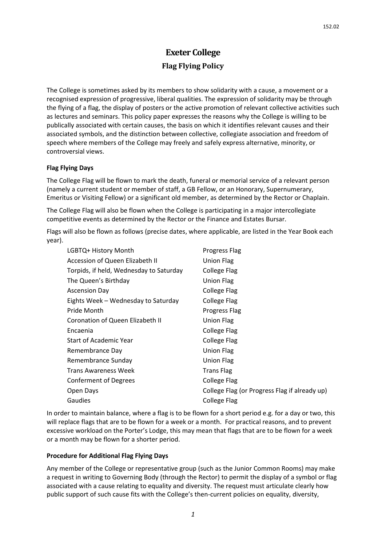# **Exeter College**

# **Flag Flying Policy**

The College is sometimes asked by its members to show solidarity with a cause, a movement or a recognised expression of progressive, liberal qualities. The expression of solidarity may be through the flying of a flag, the display of posters or the active promotion of relevant collective activities such as lectures and seminars. This policy paper expresses the reasons why the College is willing to be publically associated with certain causes, the basis on which it identifies relevant causes and their associated symbols, and the distinction between collective, collegiate association and freedom of speech where members of the College may freely and safely express alternative, minority, or controversial views.

#### **Flag Flying Days**

The College Flag will be flown to mark the death, funeral or memorial service of a relevant person (namely a current student or member of staff, a GB Fellow, or an Honorary, Supernumerary, Emeritus or Visiting Fellow) or a significant old member, as determined by the Rector or Chaplain.

The College Flag will also be flown when the College is participating in a major intercollegiate competitive events as determined by the Rector or the Finance and Estates Bursar.

Flags will also be flown as follows (precise dates, where applicable, are listed in the Year Book each year).

| LGBTQ+ History Month                    | Progress Flag                                 |
|-----------------------------------------|-----------------------------------------------|
| Accession of Queen Elizabeth II         | <b>Union Flag</b>                             |
| Torpids, if held, Wednesday to Saturday | College Flag                                  |
| The Queen's Birthday                    | <b>Union Flag</b>                             |
| <b>Ascension Day</b>                    | <b>College Flag</b>                           |
| Eights Week - Wednesday to Saturday     | College Flag                                  |
| Pride Month                             | Progress Flag                                 |
| Coronation of Queen Elizabeth II        | Union Flag                                    |
| Encaenia                                | College Flag                                  |
| <b>Start of Academic Year</b>           | College Flag                                  |
| Remembrance Day                         | Union Flag                                    |
| Remembrance Sunday                      | Union Flag                                    |
| <b>Trans Awareness Week</b>             | <b>Trans Flag</b>                             |
| Conferment of Degrees                   | College Flag                                  |
| Open Days                               | College Flag (or Progress Flag if already up) |
| Gaudies                                 | College Flag                                  |
|                                         |                                               |

In order to maintain balance, where a flag is to be flown for a short period e.g. for a day or two, this will replace flags that are to be flown for a week or a month. For practical reasons, and to prevent excessive workload on the Porter's Lodge, this may mean that flags that are to be flown for a week or a month may be flown for a shorter period.

#### **Procedure for Additional Flag Flying Days**

Any member of the College or representative group (such as the Junior Common Rooms) may make a request in writing to Governing Body (through the Rector) to permit the display of a symbol or flag associated with a cause relating to equality and diversity. The request must articulate clearly how public support of such cause fits with the College's then-current policies on equality, diversity,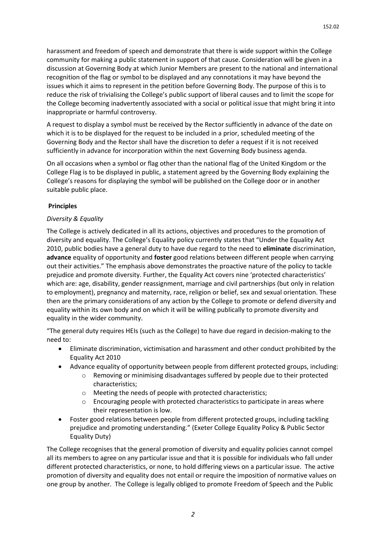harassment and freedom of speech and demonstrate that there is wide support within the College community for making a public statement in support of that cause. Consideration will be given in a discussion at Governing Body at which Junior Members are present to the national and international recognition of the flag or symbol to be displayed and any connotations it may have beyond the issues which it aims to represent in the petition before Governing Body. The purpose of this is to reduce the risk of trivialising the College's public support of liberal causes and to limit the scope for the College becoming inadvertently associated with a social or political issue that might bring it into inappropriate or harmful controversy.

A request to display a symbol must be received by the Rector sufficiently in advance of the date on which it is to be displayed for the request to be included in a prior, scheduled meeting of the Governing Body and the Rector shall have the discretion to defer a request if it is not received sufficiently in advance for incorporation within the next Governing Body business agenda.

On all occasions when a symbol or flag other than the national flag of the United Kingdom or the College Flag is to be displayed in public, a statement agreed by the Governing Body explaining the College's reasons for displaying the symbol will be published on the College door or in another suitable public place.

### **Principles**

## *Diversity & Equality*

The College is actively dedicated in all its actions, objectives and procedures to the promotion of diversity and equality. The College's Equality policy currently states that "Under the Equality Act 2010, public bodies have a general duty to have due regard to the need to **eliminate** discrimination, **advance** equality of opportunity and **foster** good relations between different people when carrying out their activities." The emphasis above demonstrates the proactive nature of the policy to tackle prejudice and promote diversity. Further, the Equality Act covers nine 'protected characteristics' which are: age, disability, gender reassignment, marriage and civil partnerships (but only in relation to employment), pregnancy and maternity, race, religion or belief, sex and sexual orientation. These then are the primary considerations of any action by the College to promote or defend diversity and equality within its own body and on which it will be willing publically to promote diversity and equality in the wider community.

"The general duty requires HEIs (such as the College) to have due regard in decision-making to the need to:

- Eliminate discrimination, victimisation and harassment and other conduct prohibited by the Equality Act 2010
- Advance equality of opportunity between people from different protected groups, including:
	- o Removing or minimising disadvantages suffered by people due to their protected characteristics;
	- o Meeting the needs of people with protected characteristics;
	- o Encouraging people with protected characteristics to participate in areas where their representation is low.
- Foster good relations between people from different protected groups, including tackling prejudice and promoting understanding." (Exeter College Equality Policy & Public Sector Equality Duty)

The College recognises that the general promotion of diversity and equality policies cannot compel all its members to agree on any particular issue and that it is possible for individuals who fall under different protected characteristics, or none, to hold differing views on a particular issue. The active promotion of diversity and equality does not entail or require the imposition of normative values on one group by another. The College is legally obliged to promote Freedom of Speech and the Public